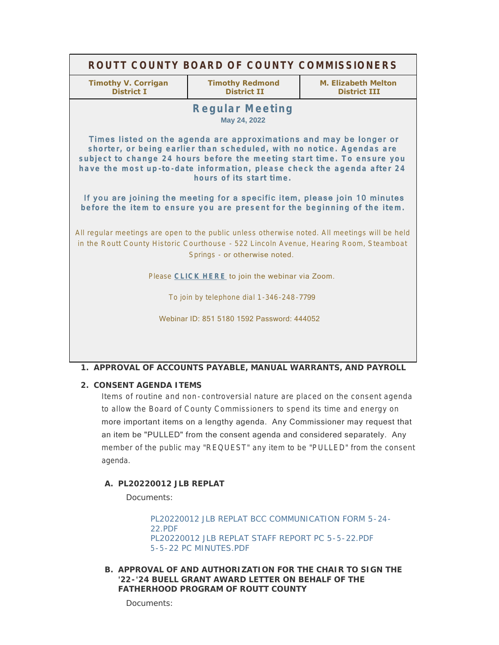| ROUTT COUNTY BOARD OF COUNTY COMMISSIONERS                                                                                                                                                                                                                                                                                   |                                              |                                            |
|------------------------------------------------------------------------------------------------------------------------------------------------------------------------------------------------------------------------------------------------------------------------------------------------------------------------------|----------------------------------------------|--------------------------------------------|
| <b>Timothy V. Corrigan</b><br><b>District T</b>                                                                                                                                                                                                                                                                              | <b>Timothy Redmond</b><br><b>District II</b> | M. Elizabeth Melton<br><b>District III</b> |
| <b>Regular Meeting</b><br>May 24, 2022                                                                                                                                                                                                                                                                                       |                                              |                                            |
| Times listed on the agenda are approximations and may be longer or<br>shorter, or being earlier than scheduled, with no notice. Agendas are<br>subject to change 24 hours before the meeting start time. To ensure you<br>have the most up-to-date information, please check the agenda after 24<br>hours of its start time. |                                              |                                            |
| If you are joining the meeting for a specific item, please join 10 minutes<br>before the item to ensure you are present for the beginning of the item.                                                                                                                                                                       |                                              |                                            |
| All regular meetings are open to the public unless otherwise noted. All meetings will be held<br>in the Routt County Historic Courthouse - 522 Lincoln Avenue, Hearing Room, Steamboat<br>Springs - or otherwise noted.                                                                                                      |                                              |                                            |
| Please CLICK HERE to join the webinar via Zoom.                                                                                                                                                                                                                                                                              |                                              |                                            |
| To join by telephone dial 1-346-248-7799                                                                                                                                                                                                                                                                                     |                                              |                                            |
| Webinar ID: 851 5180 1592 Password: 444052                                                                                                                                                                                                                                                                                   |                                              |                                            |
|                                                                                                                                                                                                                                                                                                                              |                                              |                                            |
|                                                                                                                                                                                                                                                                                                                              |                                              |                                            |

### **APPROVAL OF ACCOUNTS PAYABLE, MANUAL WARRANTS, AND PAYROLL 1.**

## **CONSENT AGENDA ITEMS 2.**

Items of routine and non- controversial nature are placed on the consent agenda to allow the Board of County Commissioners to spend its time and energy on more important items on a lengthy agenda. Any Commissioner may request that an item be "PULLED" from the consent agenda and considered separately. Any member of the public may "REQUEST" any item to be "PULLED" from the consent agenda.

# **PL20220012 JLB REPLAT A.**

Documents:

[PL20220012 JLB REPLAT BCC COMMUNICATION FORM 5-24-](http://www.co.routt.co.us/AgendaCenter/ViewFile/Item/18579?fileID=16579) 22.PDF [PL20220012 JLB REPLAT STAFF REPORT PC 5-5-22.PDF](http://www.co.routt.co.us/AgendaCenter/ViewFile/Item/18579?fileID=16580) [5-5-22 PC MINUTES.PDF](http://www.co.routt.co.us/AgendaCenter/ViewFile/Item/18579?fileID=16581)

**APPROVAL OF AND AUTHORIZATION FOR THE CHAIR TO SIGN THE B. '22-'24 BUELL GRANT AWARD LETTER ON BEHALF OF THE FATHERHOOD PROGRAM OF ROUTT COUNTY**

Documents: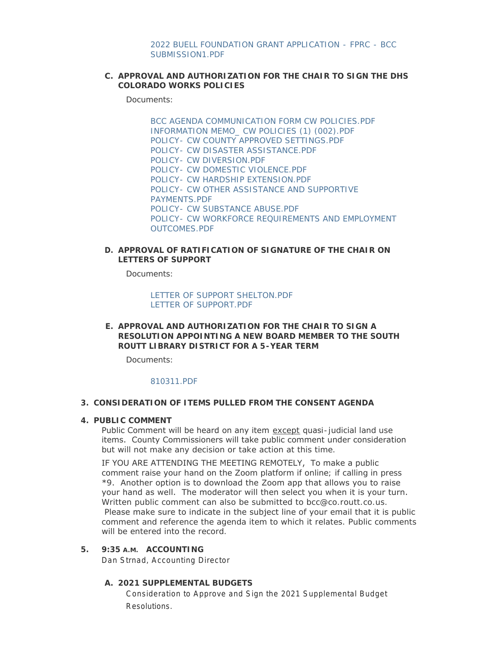## **APPROVAL AND AUTHORIZATION FOR THE CHAIR TO SIGN THE DHS C. COLORADO WORKS POLICIES**

Documents:

[BCC AGENDA COMMUNICATION FORM CW POLICIES.PDF](http://www.co.routt.co.us/AgendaCenter/ViewFile/Item/18580?fileID=16594) [INFORMATION MEMO\\_ CW POLICIES \(1\) \(002\).PDF](http://www.co.routt.co.us/AgendaCenter/ViewFile/Item/18580?fileID=16595) [POLICY- CW COUNTY APPROVED SETTINGS.PDF](http://www.co.routt.co.us/AgendaCenter/ViewFile/Item/18580?fileID=16586) [POLICY- CW DISASTER ASSISTANCE.PDF](http://www.co.routt.co.us/AgendaCenter/ViewFile/Item/18580?fileID=16587) [POLICY- CW DIVERSION.PDF](http://www.co.routt.co.us/AgendaCenter/ViewFile/Item/18580?fileID=16588) [POLICY- CW DOMESTIC VIOLENCE.PDF](http://www.co.routt.co.us/AgendaCenter/ViewFile/Item/18580?fileID=16589) [POLICY- CW HARDSHIP EXTENSION.PDF](http://www.co.routt.co.us/AgendaCenter/ViewFile/Item/18580?fileID=16590) [POLICY- CW OTHER ASSISTANCE AND SUPPORTIVE](http://www.co.routt.co.us/AgendaCenter/ViewFile/Item/18580?fileID=16591)  PAYMENTS.PDF [POLICY- CW SUBSTANCE ABUSE.PDF](http://www.co.routt.co.us/AgendaCenter/ViewFile/Item/18580?fileID=16592) [POLICY- CW WORKFORCE REQUIREMENTS AND EMPLOYMENT](http://www.co.routt.co.us/AgendaCenter/ViewFile/Item/18580?fileID=16593)  OUTCOMES.PDF

## **APPROVAL OF RATIFICATION OF SIGNATURE OF THE CHAIR ON D. LETTERS OF SUPPORT**

Documents:

[LETTER OF SUPPORT SHELTON.PDF](http://www.co.routt.co.us/AgendaCenter/ViewFile/Item/18590?fileID=16603) [LETTER OF SUPPORT.PDF](http://www.co.routt.co.us/AgendaCenter/ViewFile/Item/18590?fileID=16604)

**APPROVAL AND AUTHORIZATION FOR THE CHAIR TO SIGN A E. RESOLUTION APPOINTING A NEW BOARD MEMBER TO THE SOUTH ROUTT LIBRARY DISTRICT FOR A 5-YEAR TERM**

Documents:

### [810311.PDF](http://www.co.routt.co.us/AgendaCenter/ViewFile/Item/18615?fileID=16629)

### **CONSIDERATION OF ITEMS PULLED FROM THE CONSENT AGENDA 3.**

#### **PUBLIC COMMENT 4.**

Public Comment will be heard on any item except quasi-judicial land use items. County Commissioners will take public comment under consideration but will not make any decision or take action at this time.

IF YOU ARE ATTENDING THE MEETING REMOTELY, To make a public comment raise your hand on the Zoom platform if online; if calling in press \*9. Another option is to download the Zoom app that allows you to raise your hand as well. The moderator will then select you when it is your turn. Written public comment can also be submitted to bcc@co.routt.co.us. Please make sure to indicate in the subject line of your email that it is public comment and reference the agenda item to which it relates. Public comments will be entered into the record.

# **ACCOUNTING 5. 9:35 A.M.**

Dan Strnad, Accounting Director

### **2021 SUPPLEMENTAL BUDGETS A.**

Consideration to Approve and Sign the 2021 Supplemental Budget Resolutions.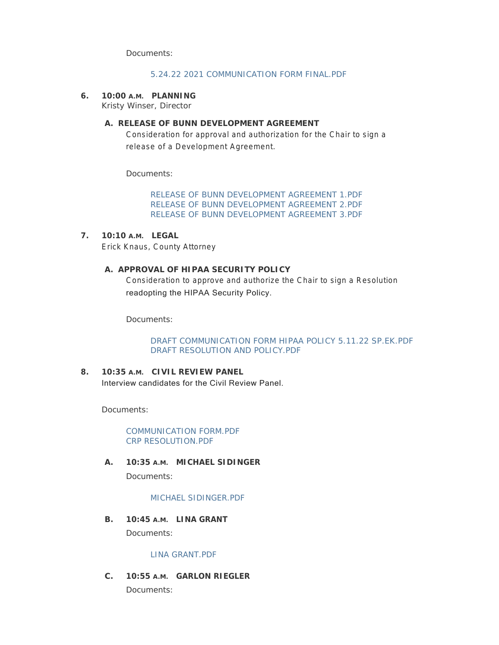Documents:

### [5.24.22 2021 COMMUNICATION FORM FINAL.PDF](http://www.co.routt.co.us/AgendaCenter/ViewFile/Item/18614?fileID=16643)

**PLANNING 6. 10:00 A.M.**

Kristy Winser, Director

## **RELEASE OF BUNN DEVELOPMENT AGREEMENT A.**

Consideration for approval and authorization for the Chair to sign a release of a Development Agreement.

Documents:

[RELEASE OF BUNN DEVELOPMENT AGREEMENT 1.PDF](http://www.co.routt.co.us/AgendaCenter/ViewFile/Item/18565?fileID=16571) [RELEASE OF BUNN DEVELOPMENT AGREEMENT 2.PDF](http://www.co.routt.co.us/AgendaCenter/ViewFile/Item/18565?fileID=16572) [RELEASE OF BUNN DEVELOPMENT AGREEMENT 3.PDF](http://www.co.routt.co.us/AgendaCenter/ViewFile/Item/18565?fileID=16573)

**LEGAL 7. 10:10 A.M.** Erick Knaus, County Attorney

# A. APPROVAL OF HIPAA SECURITY POLICY

Consideration to approve and authorize the Chair to sign a Resolution readopting the HIPAA Security Policy.

Documents:

[DRAFT COMMUNICATION FORM HIPAA POLICY 5.11.22 SP.EK.PDF](http://www.co.routt.co.us/AgendaCenter/ViewFile/Item/18623?fileID=16636) [DRAFT RESOLUTION AND POLICY.PDF](http://www.co.routt.co.us/AgendaCenter/ViewFile/Item/18623?fileID=16637)

**CIVIL REVIEW PANEL 8. 10:35 A.M.** Interview candidates for the Civil Review Panel.

Documents:

[COMMUNICATION FORM.PDF](http://www.co.routt.co.us/AgendaCenter/ViewFile/Item/18581?fileID=16650) [CRP RESOLUTION.PDF](http://www.co.routt.co.us/AgendaCenter/ViewFile/Item/18581?fileID=16649)

**MICHAEL SIDINGER A. 10:35 A.M.**

Documents:

### [MICHAEL SIDINGER.PDF](http://www.co.routt.co.us/AgendaCenter/ViewFile/Item/18582?fileID=16596)

**LINA GRANT B. 10:45 A.M.** Documents:

### [LINA GRANT.PDF](http://www.co.routt.co.us/AgendaCenter/ViewFile/Item/18583?fileID=16633)

**GARLON RIEGLER C. 10:55 A.M.** Documents: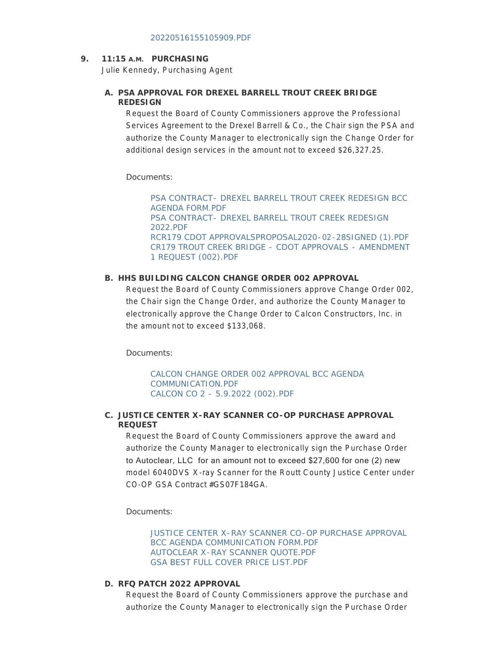## **PURCHASING 9. 11:15 A.M.**

Julie Kennedy, Purchasing Agent

# **PSA APPROVAL FOR DREXEL BARRELL TROUT CREEK BRIDGE A. REDESIGN**

Request the Board of County Commissioners approve the Professional Services Agreement to the Drexel Barrell & Co., the Chair sign the PSA and authorize the County Manager to electronically sign the Change Order for additional design services in the amount not to exceed \$26,327.25.

Documents:

[PSA CONTRACT- DREXEL BARRELL TROUT CREEK REDESIGN BCC](http://www.co.routt.co.us/AgendaCenter/ViewFile/Item/18595?fileID=16610)  AGENDA FORM.PDF [PSA CONTRACT- DREXEL BARRELL TROUT CREEK REDESIGN](http://www.co.routt.co.us/AgendaCenter/ViewFile/Item/18595?fileID=16611)  2022.PDF [RCR179 CDOT APPROVALSPROPOSAL2020-02-28SIGNED \(1\).PDF](http://www.co.routt.co.us/AgendaCenter/ViewFile/Item/18595?fileID=16612) [CR179 TROUT CREEK BRIDGE - CDOT APPROVALS - AMENDMENT](http://www.co.routt.co.us/AgendaCenter/ViewFile/Item/18595?fileID=16613)  1 REQUEST (002).PDF

## **HHS BUILDING CALCON CHANGE ORDER 002 APPROVAL B.**

Request the Board of County Commissioners approve Change Order 002, the Chair sign the Change Order, and authorize the County Manager to electronically approve the Change Order to Calcon Constructors, Inc. in the amount not to exceed \$133,068.

Documents:

[CALCON CHANGE ORDER 002 APPROVAL BCC AGENDA](http://www.co.routt.co.us/AgendaCenter/ViewFile/Item/18589?fileID=16647)  COMMUNICATION.PDF [CALCON CO 2 - 5.9.2022 \(002\).PDF](http://www.co.routt.co.us/AgendaCenter/ViewFile/Item/18589?fileID=16602)

## **JUSTICE CENTER X-RAY SCANNER CO-OP PURCHASE APPROVAL C. REQUEST**

Request the Board of County Commissioners approve the award and authorize the County Manager to electronically sign the Purchase Order to Autoclear, LLC for an amount not to exceed \$27,600 for one (2) new model 6040DVS X-ray Scanner for the Routt County Justice Center under CO-OP GSA Contract #GS07F184GA.

Documents:

[JUSTICE CENTER X-RAY SCANNER CO-OP PURCHASE APPROVAL](http://www.co.routt.co.us/AgendaCenter/ViewFile/Item/18598?fileID=16624)  BCC AGENDA COMMUNICATION FORM.PDF [AUTOCLEAR X-RAY SCANNER QUOTE.PDF](http://www.co.routt.co.us/AgendaCenter/ViewFile/Item/18598?fileID=16622) [GSA BEST FULL COVER PRICE LIST.PDF](http://www.co.routt.co.us/AgendaCenter/ViewFile/Item/18598?fileID=16623)

### **RFQ PATCH 2022 APPROVAL D.**

Request the Board of County Commissioners approve the purchase and authorize the County Manager to electronically sign the Purchase Order